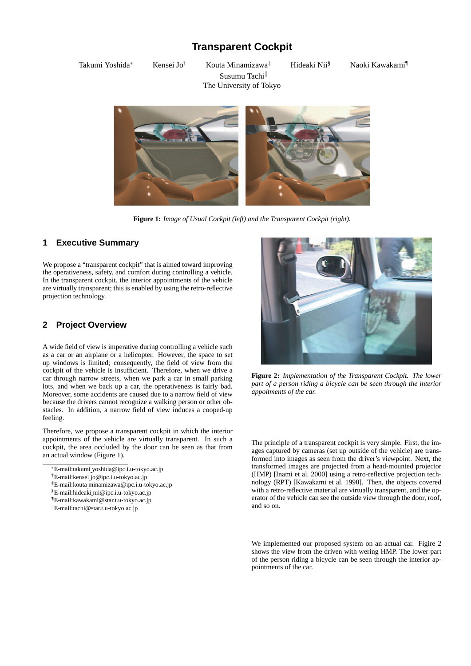# **Transparent Cockpit**

Takumi Yoshida<sup>∗</sup> Kensei Jo† Kouta Minamizawa‡ Hideaki Nii§ Naoki Kawakami¶ Susumu Tachi<sup>ll</sup> The University of Tokyo





**Figure 1:** *Image of Usual Cockpit (left) and the Transparent Cockpit (right).*

# **1 Executive Summary**

We propose a "transparent cockpit" that is aimed toward improving the operativeness, safety, and comfort during controlling a vehicle. In the transparent cockpit, the interior appointments of the vehicle are virtually transparent; this is enabled by using the retro-reflective projection technology.

# **2 Project Overview**

A wide field of view is imperative during controlling a vehicle such as a car or an airplane or a helicopter. However, the space to set up windows is limited; consequently, the field of view from the cockpit of the vehicle is insufficient. Therefore, when we drive a car through narrow streets, when we park a car in small parking lots, and when we back up a car, the operativeness is fairly bad. Moreover, some accidents are caused due to a narrow field of view because the drivers cannot recognize a walking person or other obstacles. In addition, a narrow field of view induces a cooped-up feeling.

Therefore, we propose a transparent cockpit in which the interior appointments of the vehicle are virtually transparent. In such a cockpit, the area occluded by the door can be seen as that from an actual window (Figure 1).



**Figure 2:** *Implementation of the Transparent Cockpit. The lower part of a person riding a bicycle can be seen through the interior appoitments of the car.*

The principle of a transparent cockpit is very simple. First, the images captured by cameras (set up outside of the vehicle) are transformed into images as seen from the driver's viewpoint. Next, the transformed images are projected from a head-mounted projector (HMP) [Inami et al. 2000] using a retro-reflective projection technology (RPT) [Kawakami et al. 1998]. Then, the objects covered with a retro-reflective material are virtually transparent, and the operator of the vehicle can see the outside view through the door, roof, and so on.

We implemented our proposed system on an actual car. Figire 2 shows the view from the driven with wering HMP. The lower part of the person riding a bicycle can be seen through the interior appointments of the car.

<sup>∗</sup>E-mail:takumi yoshida@ipc.i.u-tokyo.ac.jp

<sup>†</sup>E-mail:kensei jo@ipc.i.u-tokyo.ac.jp

<sup>‡</sup>E-mail:kouta minamizawa@ipc.i.u-tokyo.ac.jp

<sup>§</sup>E-mail:hideaki nii@ipc.i.u-tokyo.ac.jp

<sup>¶</sup>E-mail:kawakami@star.t.u-tokyo.ac.jp

 $E$ -mail:tachi@star.t.u-tokyo.ac.jp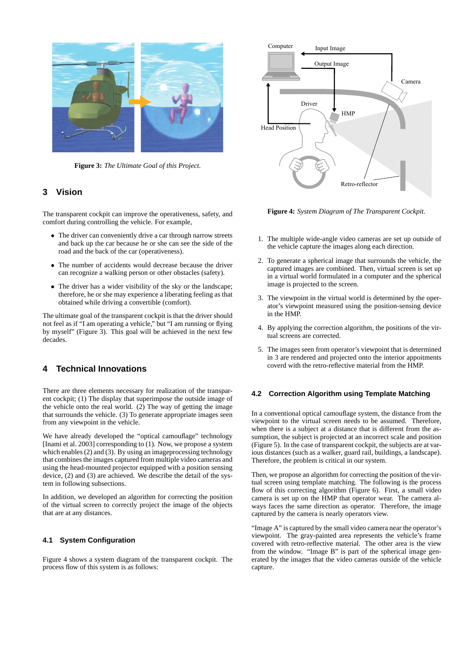

**Figure 3:** *The Ultimate Goal of this Project.*

## **3 Vision**

The transparent cockpit can improve the operativeness, safety, and comfort during controlling the vehicle. For example,

- The driver can conveniently drive a car through narrow streets and back up the car because he or she can see the side of the road and the back of the car (operativeness).
- The number of accidents would decrease because the driver can recognize a walking person or other obstacles (safety).
- The driver has a wider visibility of the sky or the landscape; therefore, he or she may experience a liberating feeling as that obtained while driving a convertible (comfort).

The ultimate goal of the transparent cockpit is that the driver should not feel as if "I am operating a vehicle," but "I am running or flying by myself" (Figure 3). This goal will be achieved in the next few decades.

# **4 Technical Innovations**

There are three elements necessary for realization of the transparent cockpit; (1) The display that superimpose the outside image of the vehicle onto the real world.  $(2)$  The way of getting the image that surrounds the vehicle. (3) To generate appropriate images seen from any viewpoint in the vehicle.

We have already developed the "optical camouflage" technology [Inami et al. 2003] corresponding to (1). Now, we propose a system which enables (2) and (3). By using an imageprocessing technology that combines the images captured from multiple video cameras and using the head-mounted projector equipped with a position sensing device, (2) and (3) are achieved. We describe the detail of the system in following subsections.

In addition, we developed an algorithm for correcting the position of the virtual screen to correctly project the image of the objects that are at any distances.

## **4.1 System Configuration**

Figure 4 shows a system diagram of the transparent cockpit. The process flow of this system is as follows:



**Figure 4:** *System Diagram of The Transparent Cockpit.*

- 1. The multiple wide-angle video cameras are set up outside of the vehicle capture the images along each direction.
- 2. To generate a spherical image that surrounds the vehicle, the captured images are combined. Then, virtual screen is set up in a virtual world formulated in a computer and the spherical image is projected to the screen.
- 3. The viewpoint in the virtual world is determined by the operator's viewpoint measured using the position-sensing device in the HMP.
- 4. By applying the correction algorithm, the positions of the virtual screens are corrected.
- 5. The images seen from operator's viewpoint that is determined in 3 are rendered and projected onto the interior appoitments coverd with the retro-reflective material from the HMP.

## **4.2 Correction Algorithm using Template Matching**

In a conventional optical camouflage system, the distance from the viewpoint to the virtual screen needs to be assumed. Therefore, when there is a subject at a distance that is different from the assumption, the subject is projected at an incorrect scale and position (Figure 5). In the case of transparent cockpit, the subjects are at various distances (such as a walker, guard rail, buildings, a landscape). Therefore, the problem is critical in our system.

Then, we propose an algorithm for correcting the position of the virtual screen using template matching. The following is the process flow of this correcting algorithm (Figure 6). First, a small video camera is set up on the HMP that operator wear. The camera always faces the same direction as operator. Therefore, the image captured by the camera is nearly operators view.

"Image A" is captured by the small video camera near the operator's viewpoint. The gray-painted area represents the vehicle's frame covered with retro-reflective material. The other area is the view from the window. "Image B" is part of the spherical image generated by the images that the video cameras outside of the vehicle capture.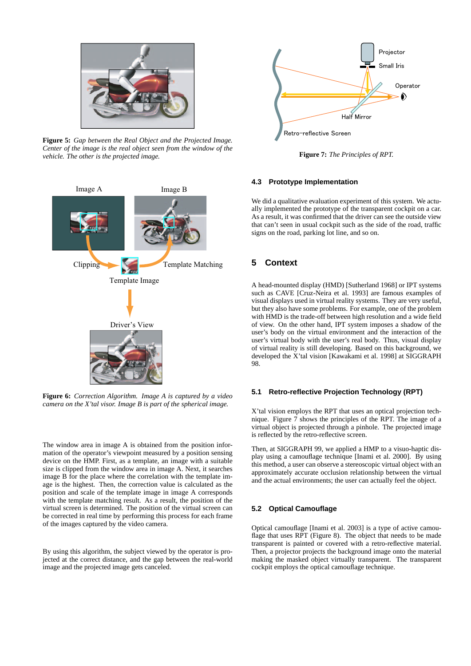

**Figure 5:** *Gap between the Real Object and the Projected Image. Center of the image is the real object seen from the window of the vehicle. The other is the projected image.*



**Figure 6:** *Correction Algorithm. Image A is captured by a video camera on the X'tal visor. Image B is part of the spherical image.*

The window area in image A is obtained from the position information of the operator's viewpoint measured by a position sensing device on the HMP. First, as a template, an image with a suitable size is clipped from the window area in image A. Next, it searches image B for the place where the correlation with the template image is the highest. Then, the correction value is calculated as the position and scale of the template image in image A corresponds with the template matching result. As a result, the position of the virtual screen is determined. The position of the virtual screen can be corrected in real time by performing this process for each frame of the images captured by the video camera.

By using this algorithm, the subject viewed by the operator is projected at the correct distance, and the gap between the real-world image and the projected image gets canceled.



**Figure 7:** *The Principles of RPT.*

## **4.3 Prototype Implementation**

We did a qualitative evaluation experiment of this system. We actually implemented the prototype of the transparent cockpit on a car. As a result, it was confirmed that the driver can see the outside view that can't seen in usual cockpit such as the side of the road, traffic signs on the road, parking lot line, and so on.

# **5 Context**

A head-mounted display (HMD) [Sutherland 1968] or IPT systems such as CAVE [Cruz-Neira et al. 1993] are famous examples of visual displays used in virtual reality systems. They are very useful, but they also have some problems. For example, one of the problem with HMD is the trade-off between high resolution and a wide field of view. On the other hand, IPT system imposes a shadow of the user's body on the virtual environment and the interaction of the user's virtual body with the user's real body. Thus, visual display of virtual reality is still developing. Based on this background, we developed the X'tal vision [Kawakami et al. 1998] at SIGGRAPH 98.

#### **5.1 Retro-reflective Projection Technology (RPT)**

X'tal vision employs the RPT that uses an optical projection technique. Figure 7 shows the principles of the RPT. The image of a virtual object is projected through a pinhole. The projected image is reflected by the retro-reflective screen.

Then, at SIGGRAPH 99, we applied a HMP to a visuo-haptic display using a camouflage technique [Inami et al. 2000]. By using this method, a user can observe a stereoscopic virtual object with an approximately accurate occlusion relationship between the virtual and the actual environments; the user can actually feel the object.

## **5.2 Optical Camouflage**

Optical camouflage [Inami et al. 2003] is a type of active camouflage that uses RPT (Figure 8). The object that needs to be made transparent is painted or covered with a retro-reflective material. Then, a projector projects the background image onto the material making the masked object virtually transparent. The transparent cockpit employs the optical camouflage technique.